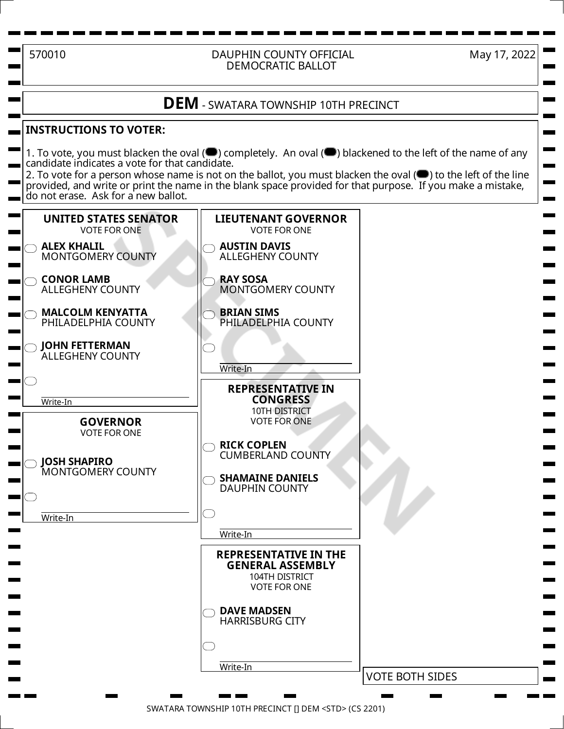## 570010 DAUPHIN COUNTY OFFICIAL DEMOCRATIC BALLOT

May 17, 2022

## **DEM** - SWATARA TOWNSHIP 10TH PRECINCT

## **INSTRUCTIONS TO VOTER:**

1. To vote, you must blacken the oval (<sup>1</sup>) completely. An oval (<sup>2</sup>) blackened to the left of the name of any candidate indicates a vote for that candidate.

2. To vote for a person whose name is not on the ballot, you must blacken the oval  $($ **)** to the left of the line provided, and write or print the name in the blank space provided for that purpose. If you make a mistake, do not erase. Ask for a new ballot.